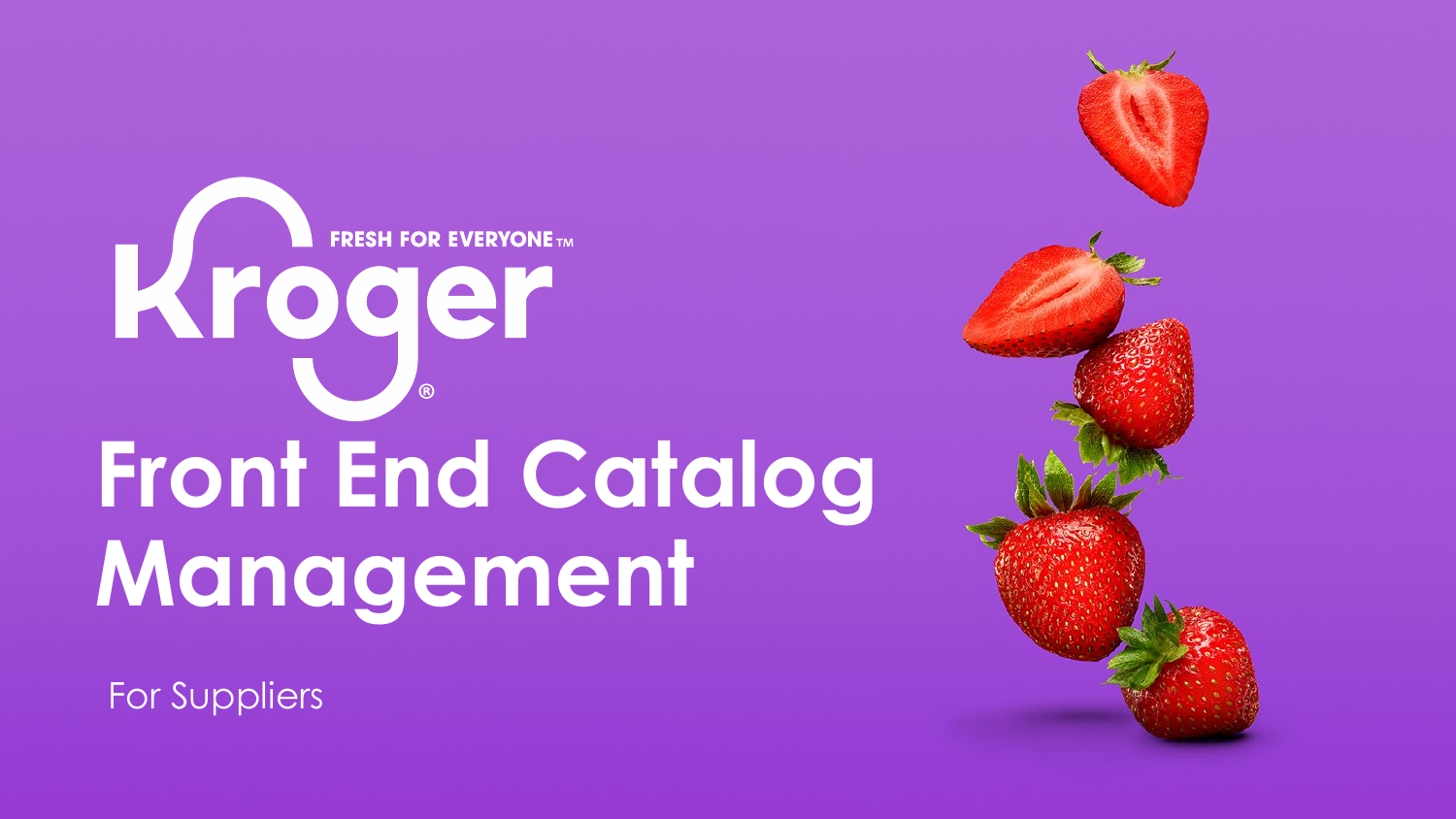# FRESH FOR EVERYONE **Front End Catalog Management**

For Suppliers

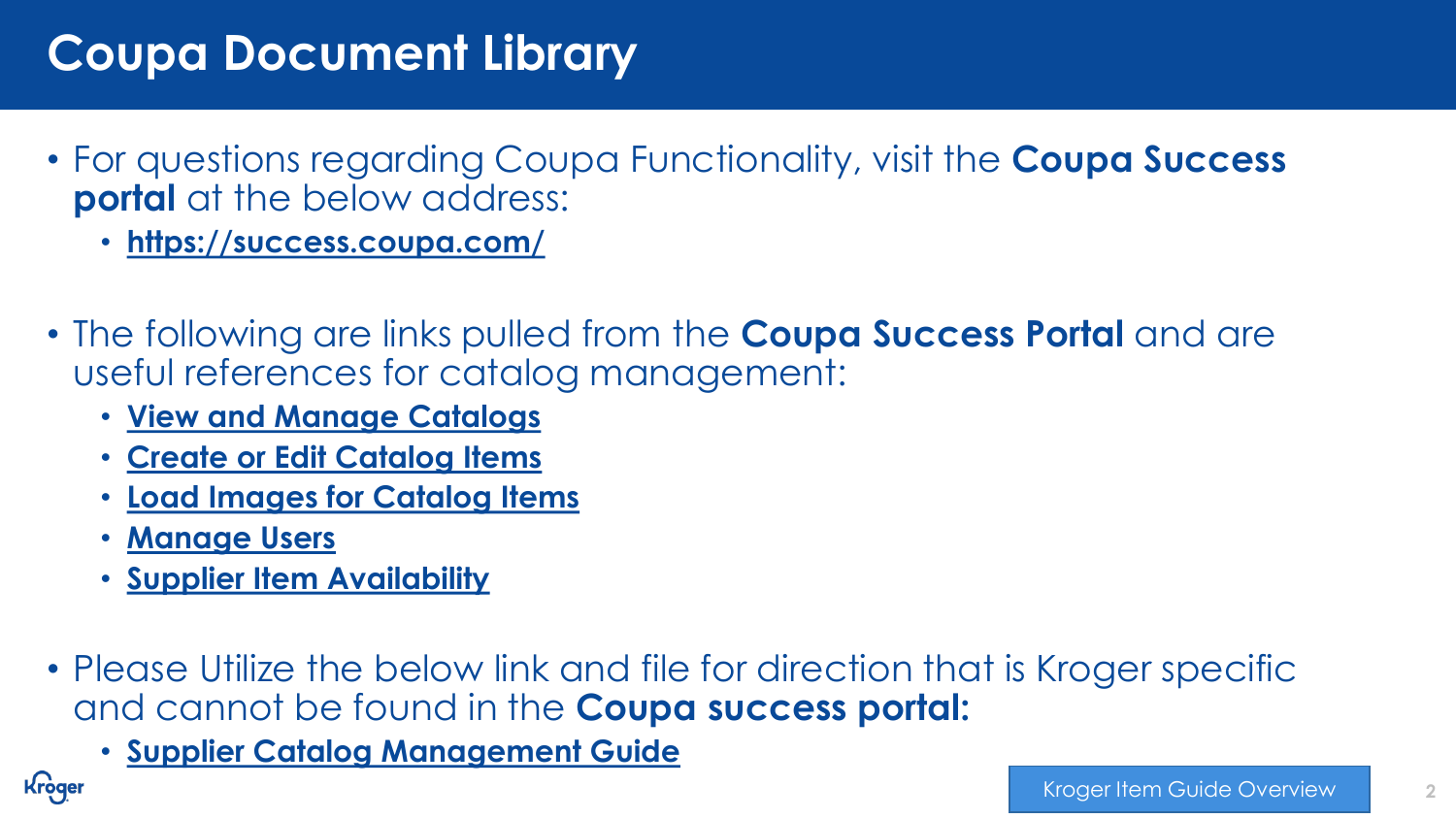# **Coupa Document Library**

- For questions regarding Coupa Functionality, visit the **Coupa Success portal** at the below address:
	- **<https://success.coupa.com/>**
- The following are links pulled from the **Coupa Success Portal** and are useful references for catalog management:
	- **[View and Manage Catalogs](https://success.coupa.com/Suppliers/For_Suppliers/Coupa_Supplier_Portal/Work_with_the_CSP/View_and_Manage_Catalogs)**
	- **[Create or Edit Catalog Items](https://success.coupa.com/Suppliers/For_Suppliers/Coupa_Supplier_Portal/Work_with_the_CSP/Create_or_Edit_Catalog_Items)**
	- **[Load Images for Catalog Items](https://success.coupa.com/Support/Docs/Core_Apps/Procurement/Catalogs_and_Items/Catalogs/Load_Images_for_Catalog_Items)**
	- **[Manage Users](https://success.coupa.com/Suppliers/For_Suppliers/Coupa_Supplier_Portal/Administer_the_CSP/02_Manage_Users)**

Kroger

- **[Supplier Item Availability](https://success.coupa.com/Support/Releases/31/New_Features/Core_Apps/Procurement/Supplier_Item_Availability)**
- Please Utilize the below link and file for direction that is Kroger specific and cannot be found in the **Coupa success portal:**
	- **[Supplier Catalog Management Guide](https://www.thekrogerco.com/wp-content/uploads/2021/03/Supplier-Catalog-Management-Guide.xlsx)**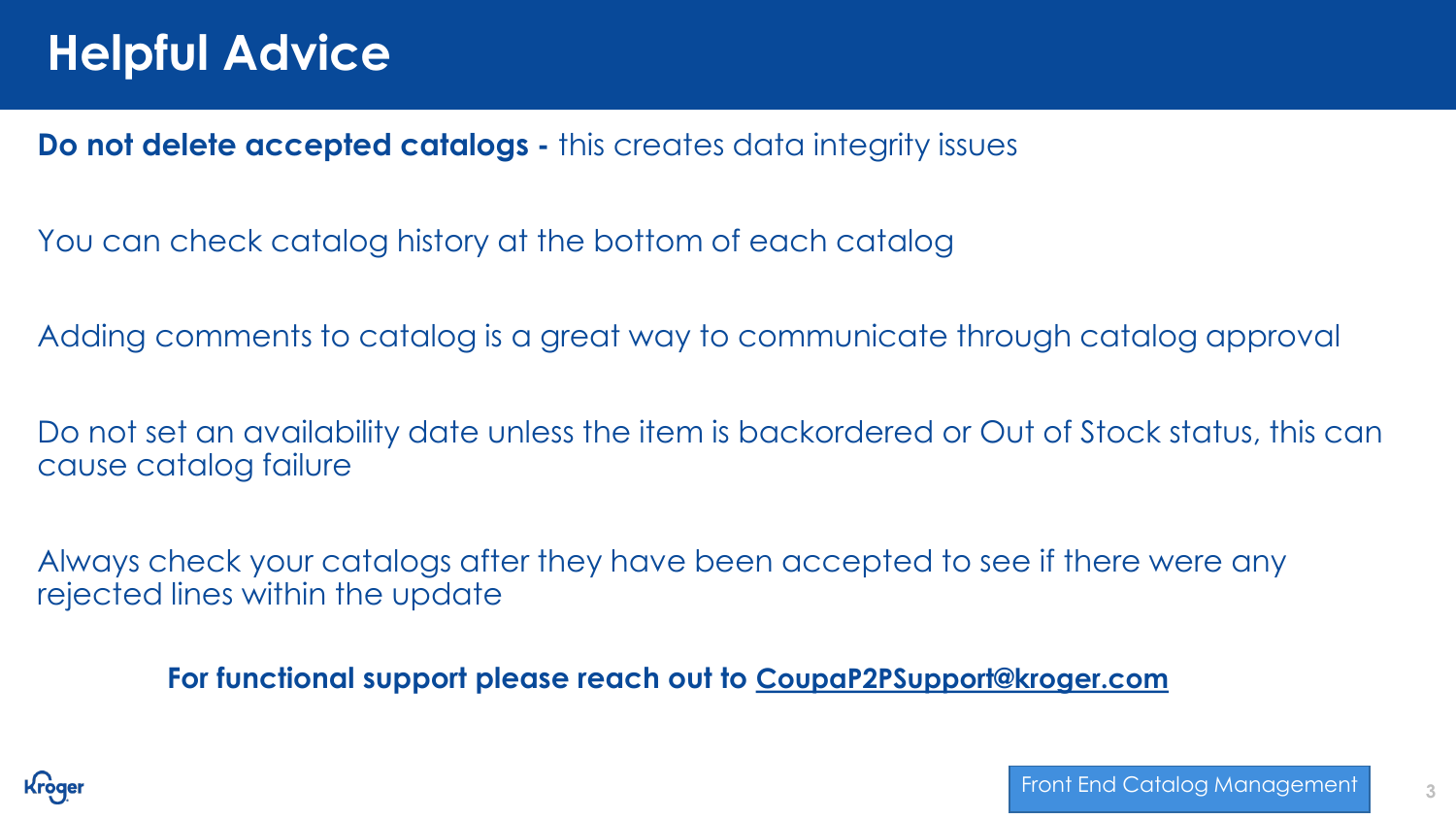**Do not delete accepted catalogs -** this creates data integrity issues

You can check catalog history at the bottom of each catalog

Adding comments to catalog is a great way to communicate through catalog approval

Do not set an availability date unless the item is backordered or Out of Stock status, this can cause catalog failure

Always check your catalogs after they have been accepted to see if there were any rejected lines within the update

**For functional support please reach out to [CoupaP2PSupport@kroger.com](mailto:CoupaP2PSupport@kroger.com)**

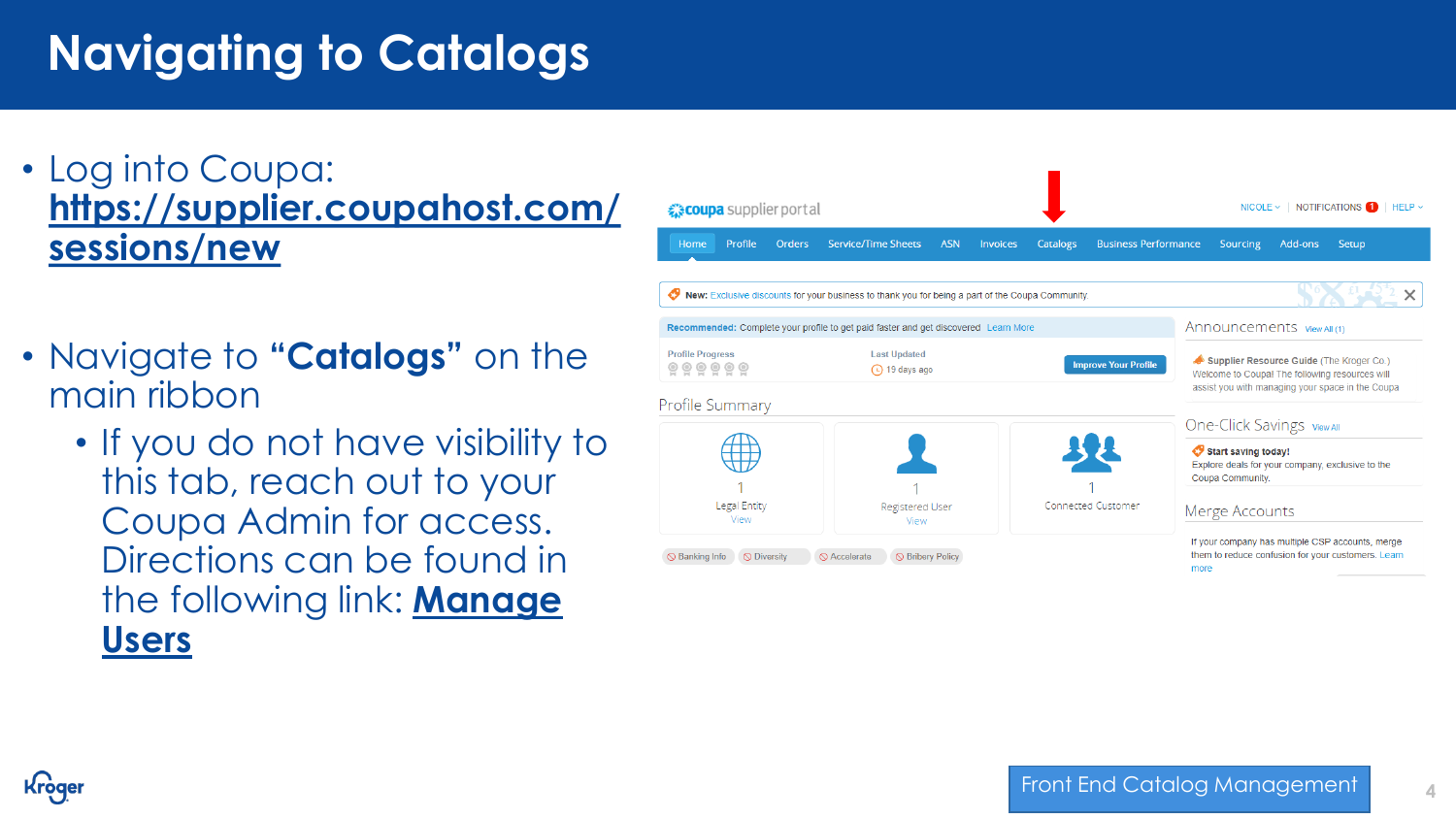# **Navigating to Catalogs**

## • Log into Coupa: **[https://supplier.coupahost.com/](https://supplier.coupahost.com/sessions/new) sessions/new**

- Navigate to **"Catalogs"** on the main ribbon
	- If you do not have visibility to this tab, reach out to your Coupa Admin for access. Directions can be found in [the following link:](https://success.coupa.com/Suppliers/For_Suppliers/Coupa_Supplier_Portal/Administer_the_CSP/02_Manage_Users) **Manage Users**



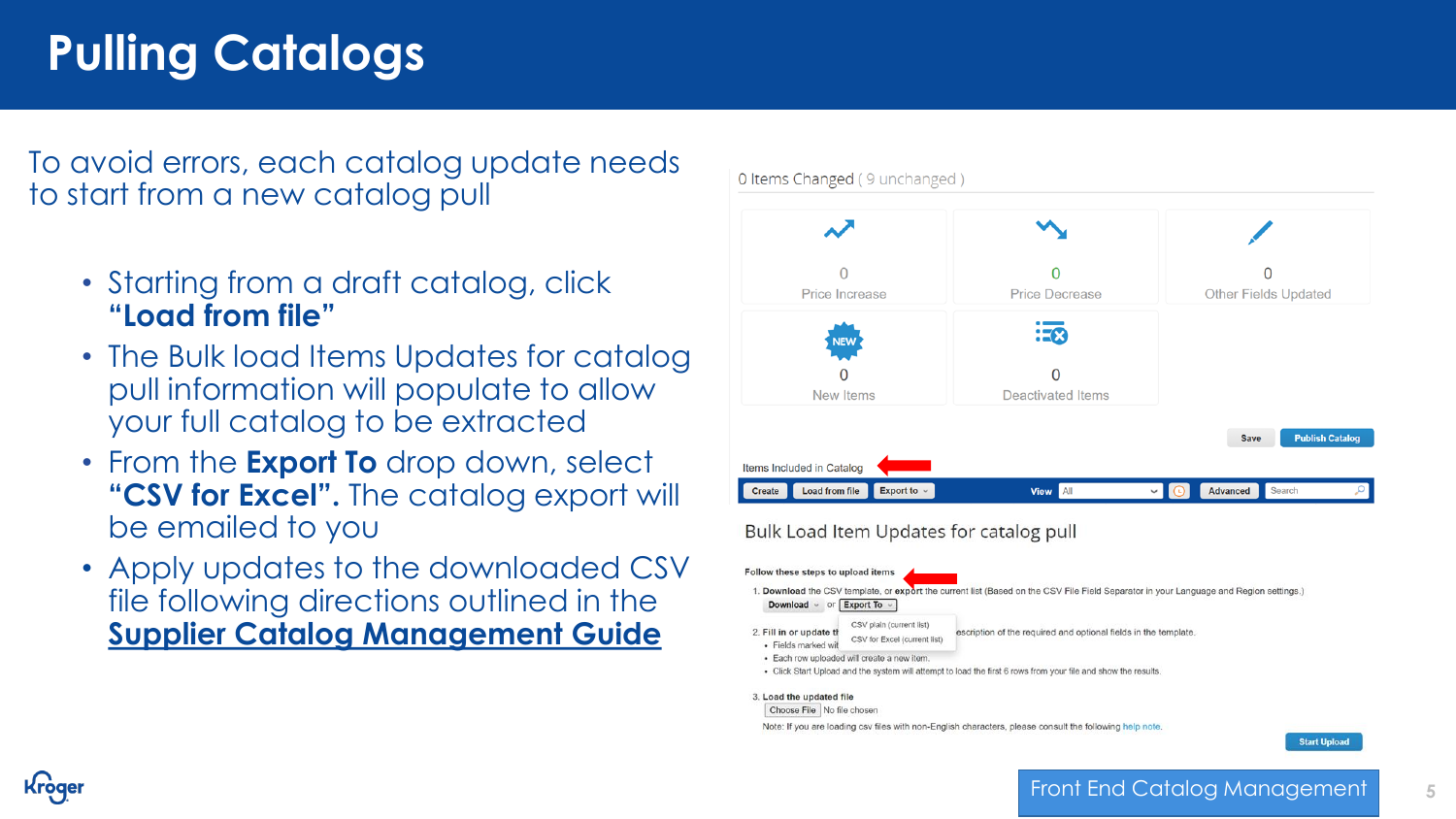# **Pulling Catalogs**

Kroae

To avoid errors, each catalog update needs to start from a new catalog pull

- Starting from a draft catalog, click **"Load from file"**
- The Bulk load Items Updates for catalog pull information will populate to allow your full catalog to be extracted
- From the **Export To** drop down, select **"CSV for Excel".** The catalog export will be emailed to you
- Apply updates to the downloaded CSV file following directions outlined in the **[Supplier Catalog Management Guide](https://www.thekrogerco.com/wp-content/uploads/2021/03/Supplier-Catalog-Management-Guide.xlsx)**



Bulk Load Item Updates for catalog pull

- Follow these steps to upload items 1. Download the CSV template, or export the current list (Based on the CSV File Field Separator in your Language and Region settings.) Download  $\sim$  or Export To  $\sim$ CSV plain (current list 2. Fill in or update t escription of the required and optional fields in the template. CSV for Excel (current list) · Fields marked wit · Each row uploaded will create a new iten . Click Start Upload and the system will attempt to load the first 6 rows from your file and show the results. 3. Load the updated file
	- Choose File No file chosen

Note: If you are loading csv files with non-English characters, please consult the following help note

**Start Upload** 

#### Front End Catalog Management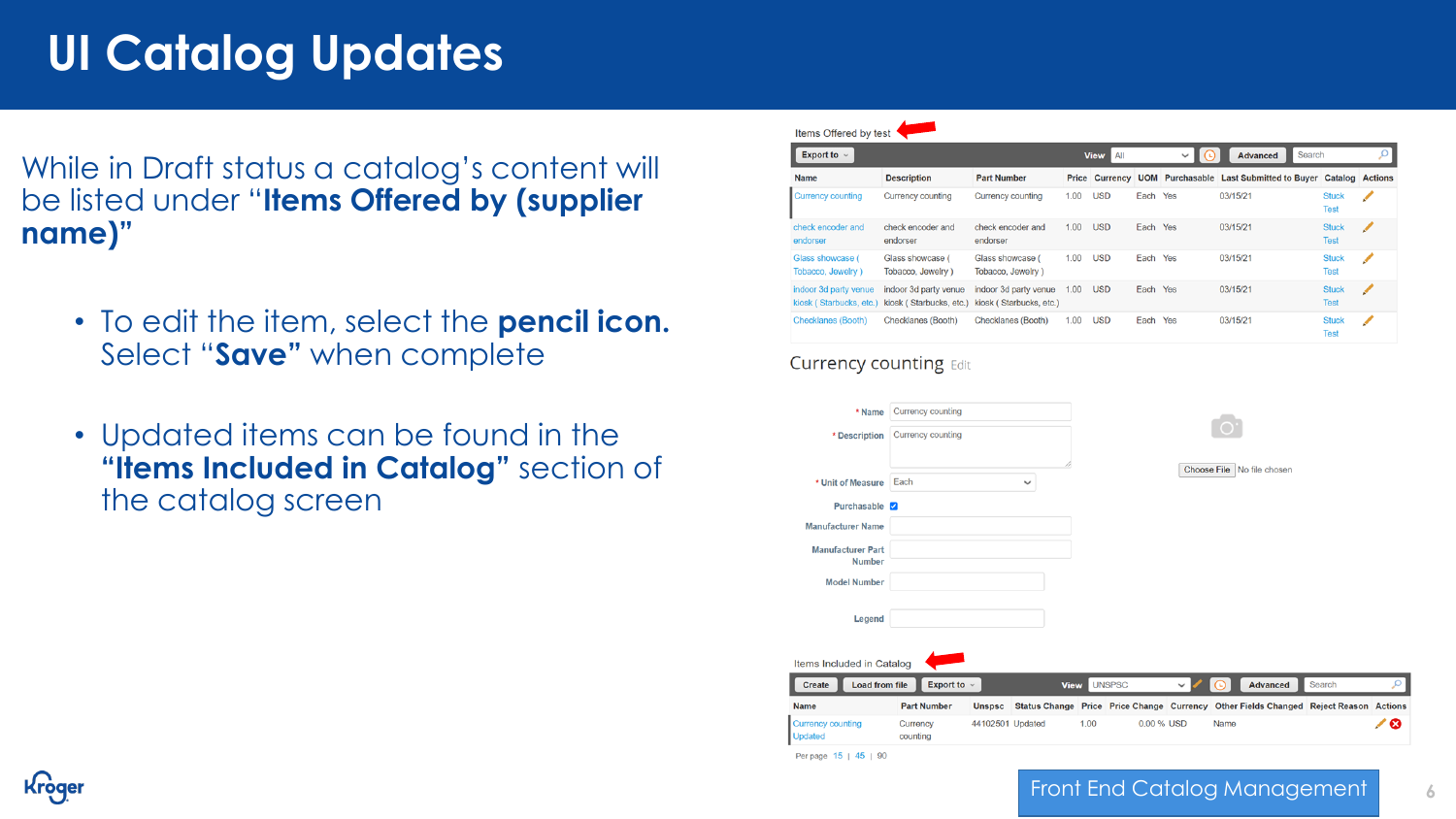# **UI Catalog Updates**

While in Draft status a catalog's content will be listed under "**Items Offered by (supplier name)"**

- To edit the item, select the **pencil icon.**  Select "**Save"** when complete
- Updated items can be found in the **"Items Included in Catalog"** section of the catalog screen

| Export to $\sim$                                 | All<br><b>View</b>                               |                                                  |      | $\checkmark$ | Search |     |                                                                        |                             |   |
|--------------------------------------------------|--------------------------------------------------|--------------------------------------------------|------|--------------|--------|-----|------------------------------------------------------------------------|-----------------------------|---|
| <b>Name</b>                                      | <b>Description</b>                               | <b>Part Number</b>                               |      |              |        |     | Price Currency UOM Purchasable Last Submitted to Buyer Catalog Actions |                             |   |
| <b>Currency counting</b>                         | Currency counting                                | Currency counting                                | 1.00 | <b>USD</b>   | Each   | Yes | 03/15/21                                                               | <b>Stuck</b><br><b>Test</b> | ◢ |
| check encoder and<br>endorser                    | check encoder and<br>endorser                    | check encoder and<br>endorser                    | 1.00 | <b>USD</b>   | Each   | Yes | 03/15/21                                                               | <b>Stuck</b><br><b>Test</b> | ◢ |
| Glass showcase (<br>Tobacco, Jewelry)            | Glass showcase (<br>Tobacco, Jewelry)            | Glass showcase (<br>Tobacco, Jewelry)            | 1.00 | <b>USD</b>   | Each   | Yes | 03/15/21                                                               | <b>Stuck</b><br><b>Test</b> | ∕ |
| indoor 3d party venue<br>kiosk (Starbucks, etc.) | indoor 3d party venue<br>kiosk (Starbucks, etc.) | indoor 3d party venue<br>kiosk (Starbucks, etc.) | 1.00 | <b>USD</b>   | Each   | Yes | 03/15/21                                                               | <b>Stuck</b><br><b>Test</b> | ◢ |
| <b>Checklanes (Booth)</b>                        | Checklanes (Booth)                               | Checklanes (Booth)                               | 1.00 | <b>USD</b>   | Each   | Yes | 03/15/21                                                               | <b>Stuck</b><br><b>Test</b> | ✔ |

#### **Currency counting Edit**

| * Name                                     | Currency counting    |                  |   |             |               |      |                            |                                                                                      |        |
|--------------------------------------------|----------------------|------------------|---|-------------|---------------|------|----------------------------|--------------------------------------------------------------------------------------|--------|
| * Description                              | Currency counting    |                  |   |             |               |      |                            |                                                                                      |        |
| * Unit of Measure                          | Each                 |                  | ◡ |             |               |      | Choose File No file chosen |                                                                                      |        |
| Purchasable V                              |                      |                  |   |             |               |      |                            |                                                                                      |        |
| <b>Manufacturer Name</b>                   |                      |                  |   |             |               |      |                            |                                                                                      |        |
| <b>Manufacturer Part</b><br><b>Number</b>  |                      |                  |   |             |               |      |                            |                                                                                      |        |
| <b>Model Number</b>                        |                      |                  |   |             |               |      |                            |                                                                                      |        |
| Legend                                     |                      |                  |   |             |               |      |                            |                                                                                      |        |
| Items Included in Catalog                  |                      |                  |   |             |               |      |                            |                                                                                      |        |
| <b>Load from file</b><br><b>Create</b>     | Export to $\sim$     |                  |   | <b>View</b> | <b>UNSPSC</b> |      | Advanced                   | Search                                                                               | مر     |
| <b>Name</b>                                | <b>Part Number</b>   | <b>Unspsc</b>    |   |             |               |      |                            | Status Change Price Price Change Currency Other Fields Changed Reject Reason Actions |        |
| <b>Currency counting</b><br><b>Updated</b> | Currency<br>counting | 44102501 Updated |   | 1.00        | 0.00 % USD    | Name |                            |                                                                                      | ☎<br>ℐ |



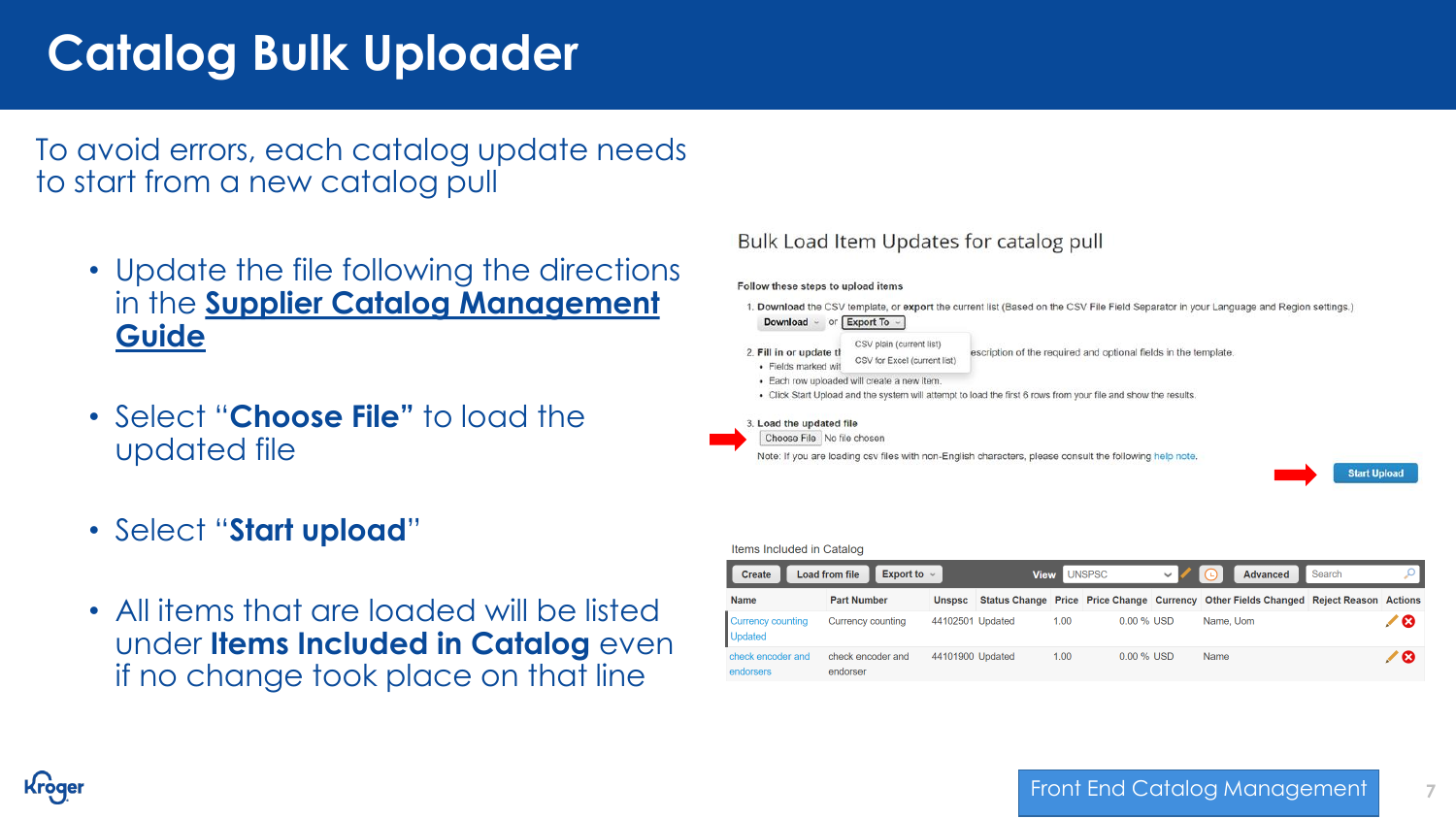# **Catalog Bulk Uploader**

To avoid errors, each catalog update needs to start from a new catalog pull

- Update the file following the directions in the **Supplier Catalog Management Guide**
- Select "**Choose File"** to load the updated file
- Select "**Start upload**"
- All items that are loaded will be listed under **Items Included in Catalog** even if no change took place on that line

#### Bulk Load Item Updates for catalog pull

#### Follow these steps to upload items

1. Download the CSV template, or export the current list (Based on the CSV File Field Separator in your Language and Region settings.) **Download**  $\sim$  or **Export To**  $\sim$ 

CSV plain (current list) 2. Fill in or update tl

escription of the required and optional fields in the template CSV for Excel (current list) · Fields marked wit

- · Each row uploaded will create a new item
- Click Start Upload and the system will attempt to load the first 6 rows from your file and show the results

#### 3. Load the updated file

Choose File No file choser

Note: If you are loading csv files with non-English characters, please consult the following help note.

**Start Upload** 

**7**

#### Items Included in Catalog

| <b>Load from file</b><br>Create     | <b>UNSPSC</b><br><b>View</b>  |                  |  | <b>Advanced</b><br>(L) | Search       |                                                                                      |  |     |
|-------------------------------------|-------------------------------|------------------|--|------------------------|--------------|--------------------------------------------------------------------------------------|--|-----|
| <b>Name</b>                         | <b>Part Number</b>            | <b>Unspsc</b>    |  |                        |              | Status Change Price Price Change Currency Other Fields Changed Reject Reason Actions |  |     |
| Currency counting<br><b>Updated</b> | Currency counting             | 44102501 Updated |  | 1.00                   | $0.00\%$ USD | Name, Uom                                                                            |  | ╱ ⊗ |
| check encoder and<br>endorsers      | check encoder and<br>endorser | 44101900 Updated |  | 1.00                   | $0.00\%$ USD | Name                                                                                 |  | ╱ ⊗ |

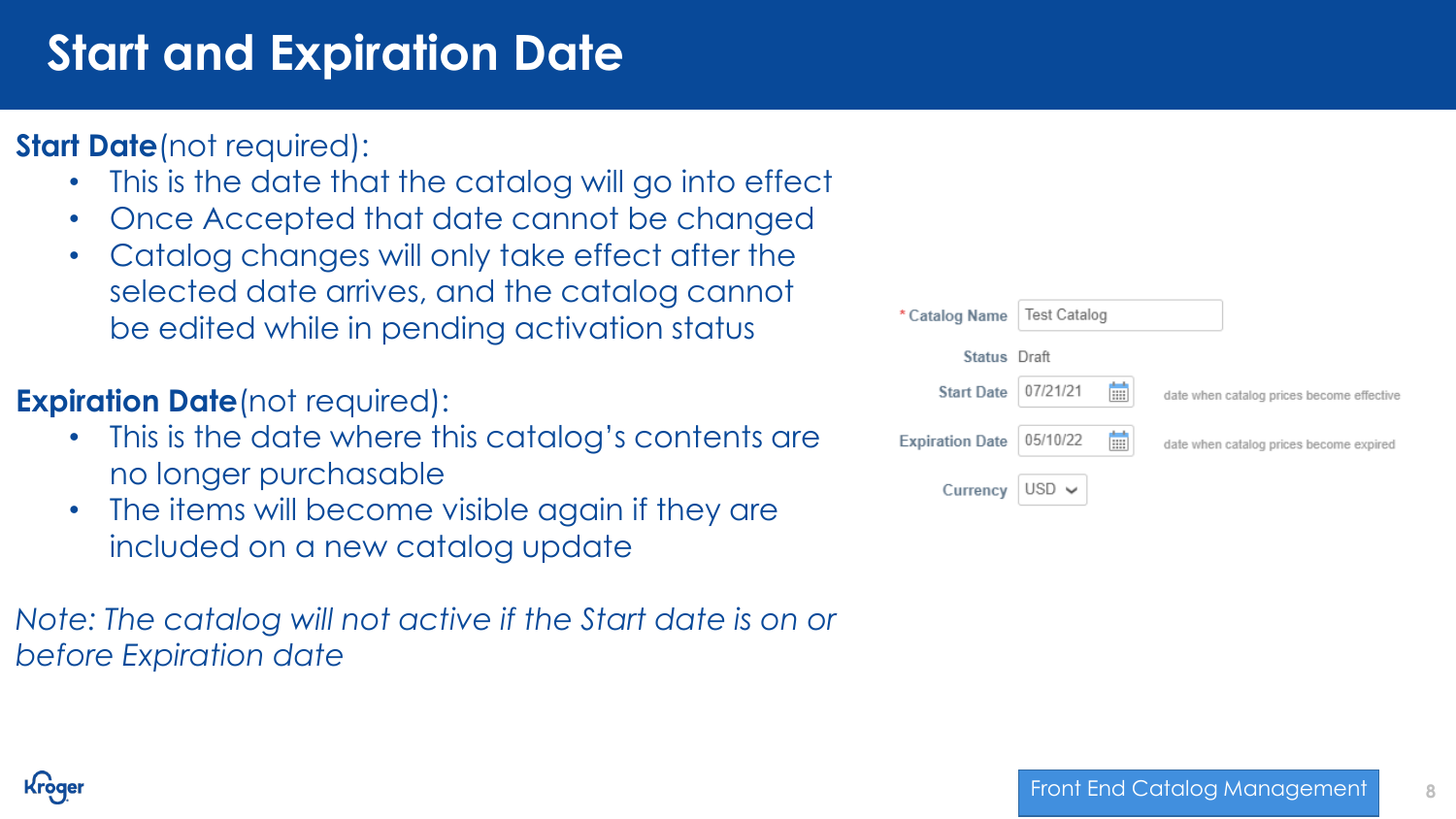# **Start and Expiration Date**

## **Start Date**(not required):

- This is the date that the catalog will go into effect
- Once Accepted that date cannot be changed
- Catalog changes will only take effect after the selected date arrives, and the catalog cannot be edited while in pending activation status

## **Expiration Date**(not required):

- This is the date where this catalog's contents are no longer purchasable
- The items will become visible again if they are included on a new catalog update

*Note: The catalog will not active if the Start date is on or before Expiration date*

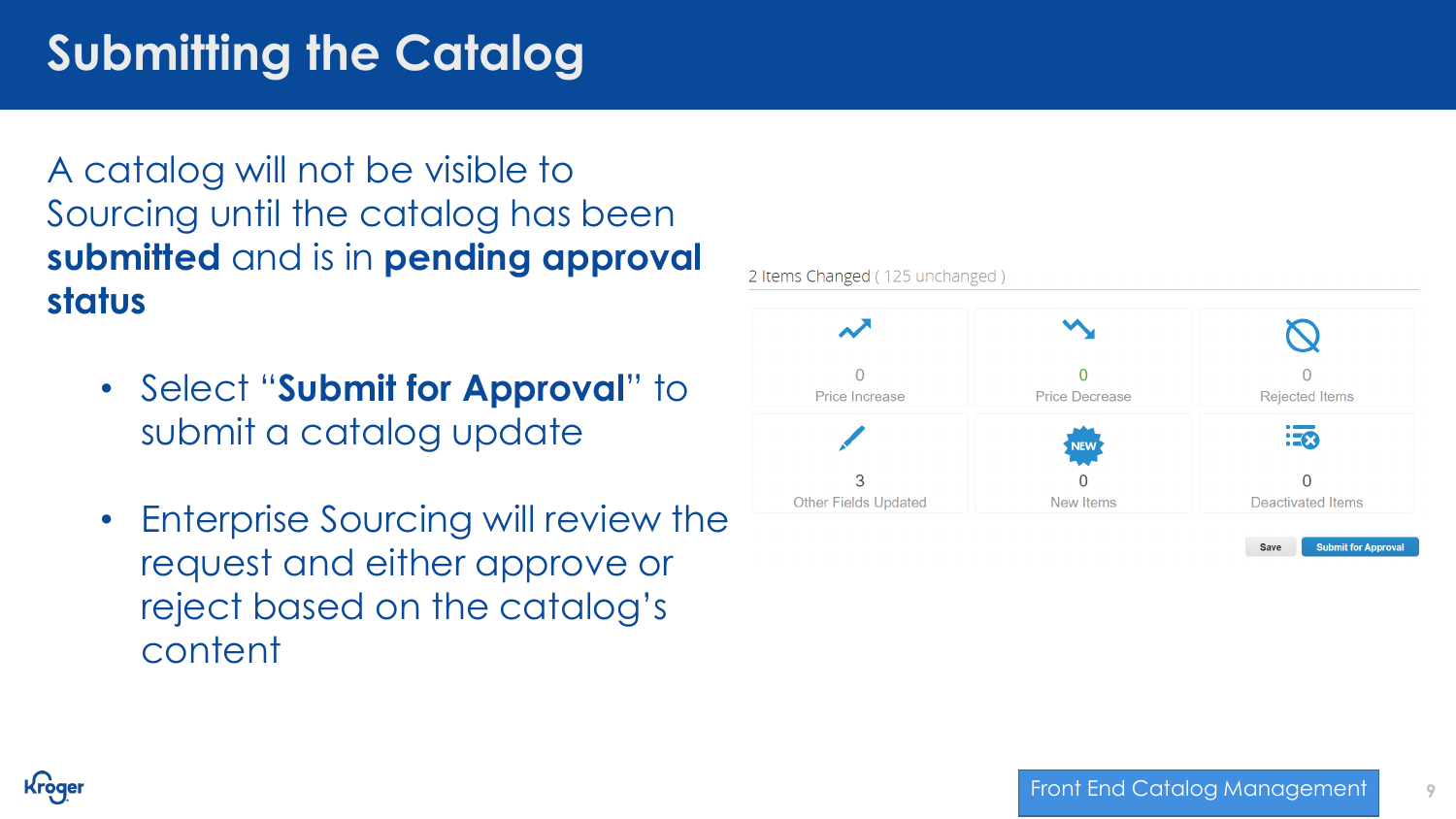# **Submitting the Catalog**

A catalog will not be visible to Sourcing until the catalog has been **submitted** and is in **pending approval status**

- Select "**Submit for Approval**" to submit a catalog update
- Enterprise Sourcing will review the request and either approve or reject based on the catalog's content



2 Items Changed (125 unchanged)

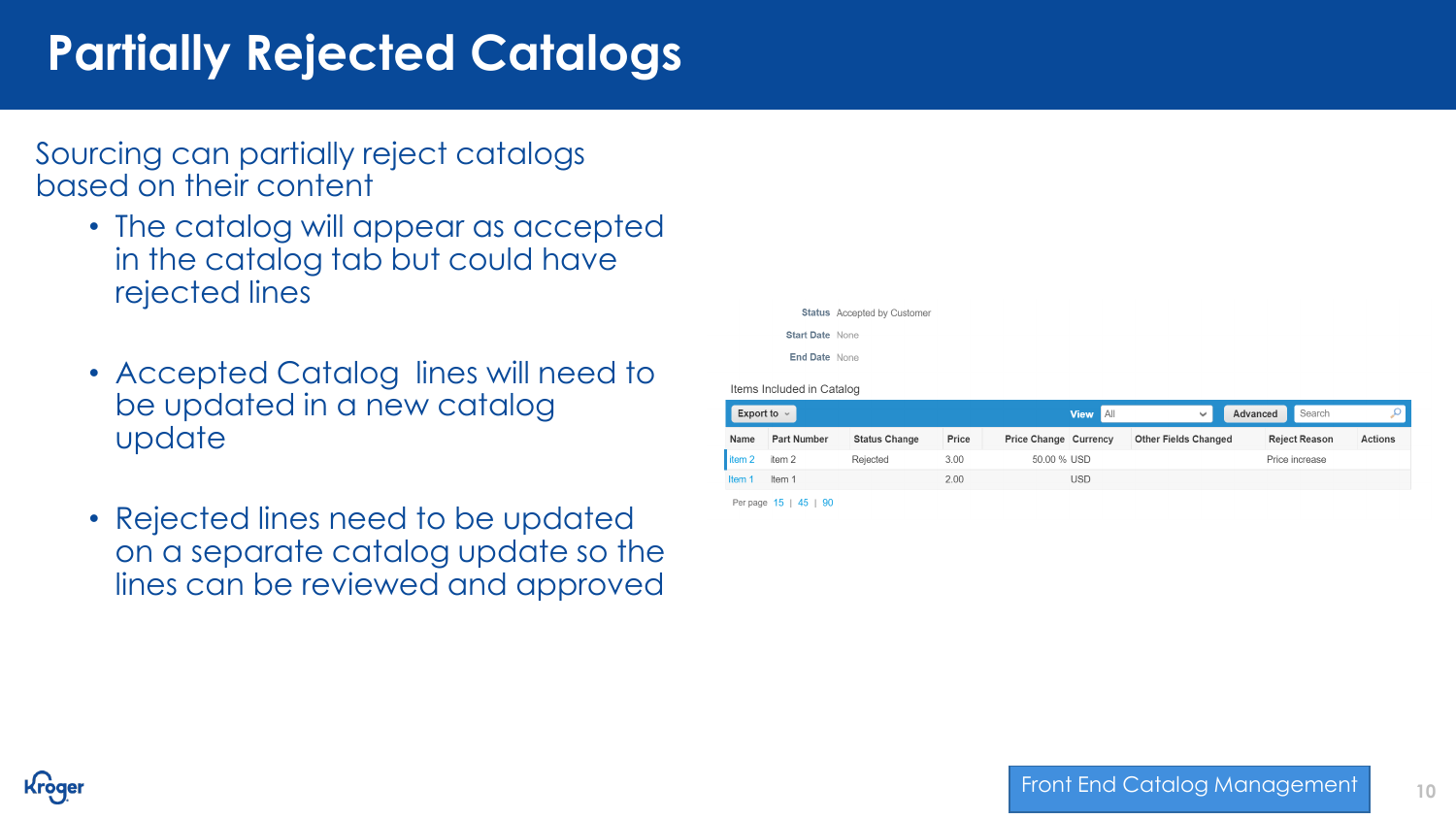# **Partially Rejected Catalogs**

Sourcing can partially reject catalogs based on their content

- The catalog will appear as accepted in the catalog tab but could have rejected lines
- Accepted Catalog lines will need to be updated in a new catalog update
- Rejected lines need to be updated on a separate catalog update so the lines can be reviewed and approved

**Status** Accepted by Customer **Start Date None** End Date None

Items Included in Catalog

| Export to $\sim$<br><b>View</b> |                    |                      |       |                       |     | $\checkmark$                | Advanced | Search               |                |
|---------------------------------|--------------------|----------------------|-------|-----------------------|-----|-----------------------------|----------|----------------------|----------------|
| Name                            | <b>Part Number</b> | <b>Status Change</b> | Price | Price Change Currency |     | <b>Other Fields Changed</b> |          | <b>Reject Reason</b> | <b>Actions</b> |
| item 2                          | item 2             | Rejected             | 3.00  | 50.00 % USD           |     |                             |          | Price increase       |                |
| ltem.                           | Item 1             |                      | 2.00  |                       | USD |                             |          |                      |                |

Per page 15 | 45 | 90

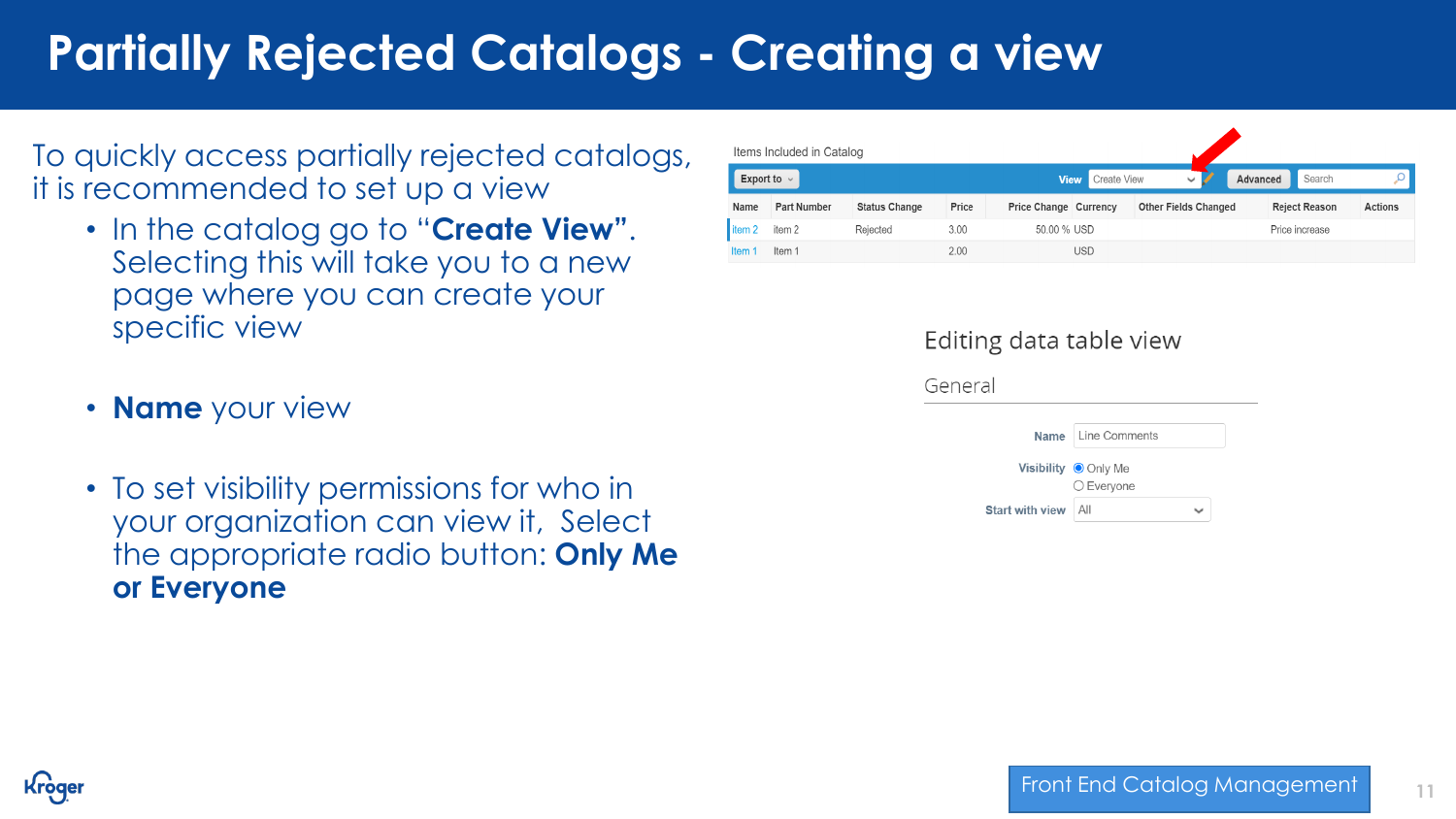# **Partially Rejected Catalogs - Creating a view**

To quickly access partially rejected catalogs, it is recommended to set up a view

- In the catalog go to "**Create View"**. Selecting this will take you to a new page where you can create your specific view
- **Name** your view
- To set visibility permissions for who in your organization can view it, Select the appropriate radio button: **Only Me or Everyone**

| Items Included in Catalog |                    |                      |       |                              |                                                   |                             |  |                      |                |
|---------------------------|--------------------|----------------------|-------|------------------------------|---------------------------------------------------|-----------------------------|--|----------------------|----------------|
| Export to $\sim$          |                    |                      |       |                              | <b>Create View</b><br><b>View</b><br>$\checkmark$ |                             |  | Search               |                |
| Name                      | <b>Part Number</b> | <b>Status Change</b> | Price | <b>Price Change Currency</b> |                                                   | <b>Other Fields Changed</b> |  | <b>Reject Reason</b> | <b>Actions</b> |
| litem <sub>2</sub>        | item <sub>2</sub>  | Rejected             | 3.00  | 50.00 % USD                  |                                                   |                             |  | Price increase       |                |
| ltem 1                    | Item 1             |                      | 2.00  |                              | <b>USD</b>                                        |                             |  |                      |                |

#### Editing data table view



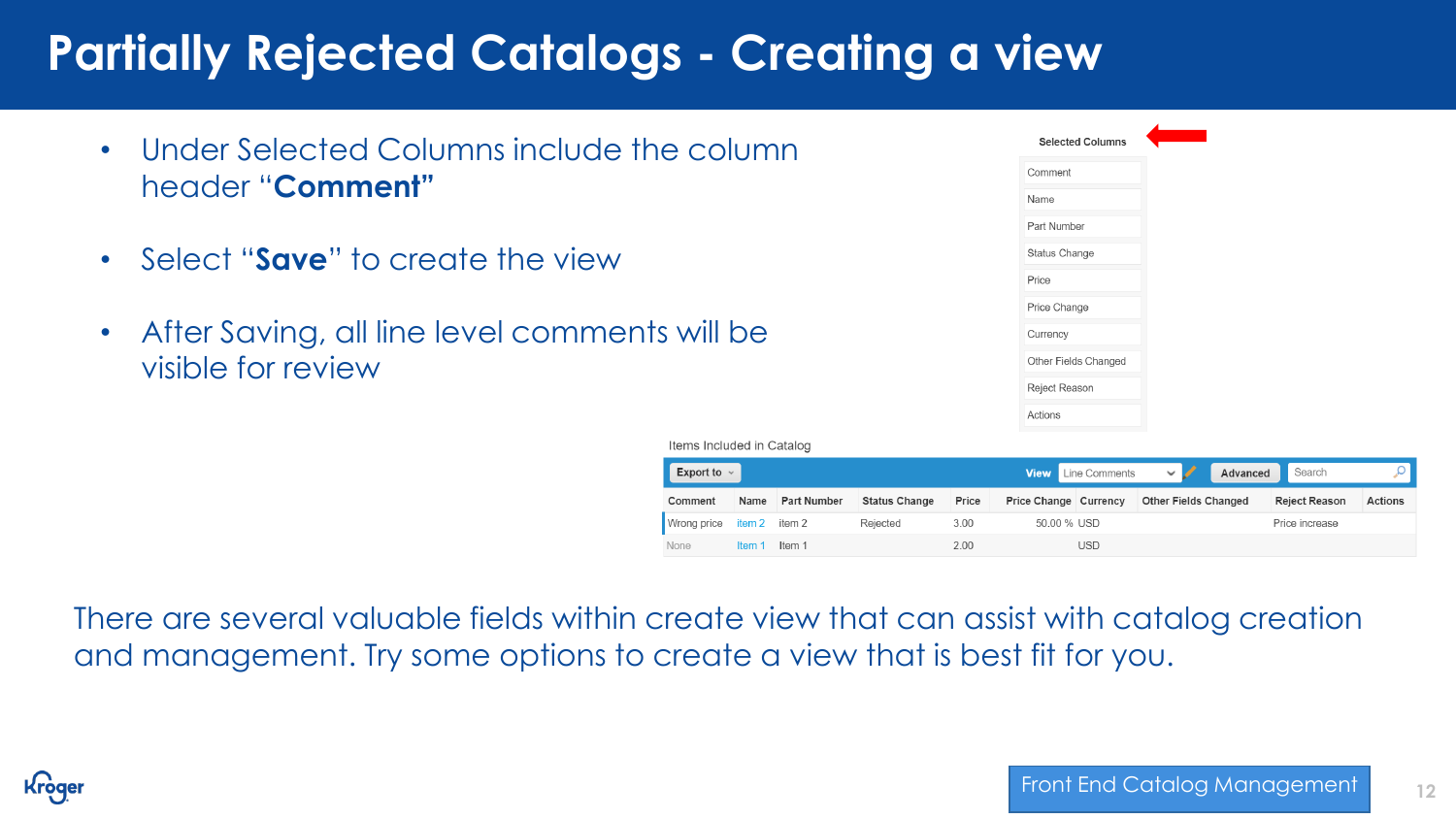# **Partially Rejected Catalogs - Creating a view**

- Under Selected Columns include the column header "**Comment"**
- Select "**Save**" to create the view
- After Saving, all line level comments will be visible for review

| <b>Selected Columns</b> |
|-------------------------|
| Comment                 |
| Name                    |
| Part Number             |
| Status Change           |
| Price                   |
| Price Change            |
| Currency                |
| Other Fields Changed    |
| Reject Reason           |
| Actions                 |

Items Included in Catalog

| Export to $\sim$ |        |                    |                      |       |                              | <b>View</b> Line Comments | $\backsim$ $\backsim$       | Advanced | Search               |                |
|------------------|--------|--------------------|----------------------|-------|------------------------------|---------------------------|-----------------------------|----------|----------------------|----------------|
| Comment          | Name   | <b>Part Number</b> | <b>Status Change</b> | Price | <b>Price Change Currency</b> |                           | <b>Other Fields Changed</b> |          | <b>Reject Reason</b> | <b>Actions</b> |
| Wrong price      | item 2 | item 2             | Rejected             | 3.00  | 50.00 % USD                  |                           |                             |          | Price increase       |                |
| None             | Item   | Item 1             |                      | 2.00  |                              | <b>USD</b>                |                             |          |                      |                |

There are several valuable fields within create view that can assist with catalog creation and management. Try some options to create a view that is best fit for you.

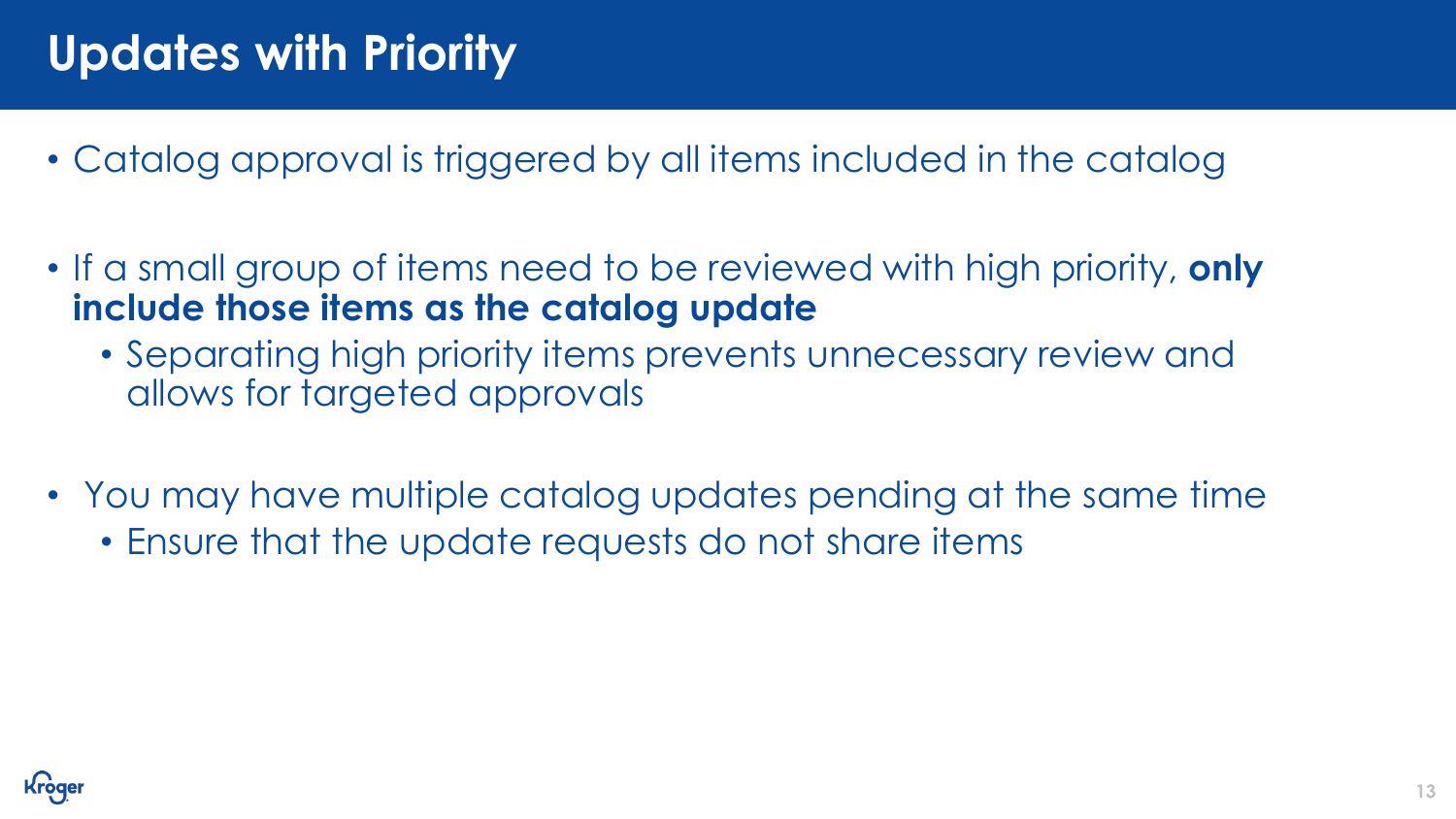# **Updates with Priority**

- Catalog approval is triggered by all items included in the catalog
- If a small group of items need to be reviewed with high priority, **only include those items as the catalog update**
	- Separating high priority items prevents unnecessary review and allows for targeted approvals
- You may have multiple catalog updates pending at the same time
	- Ensure that the update requests do not share items

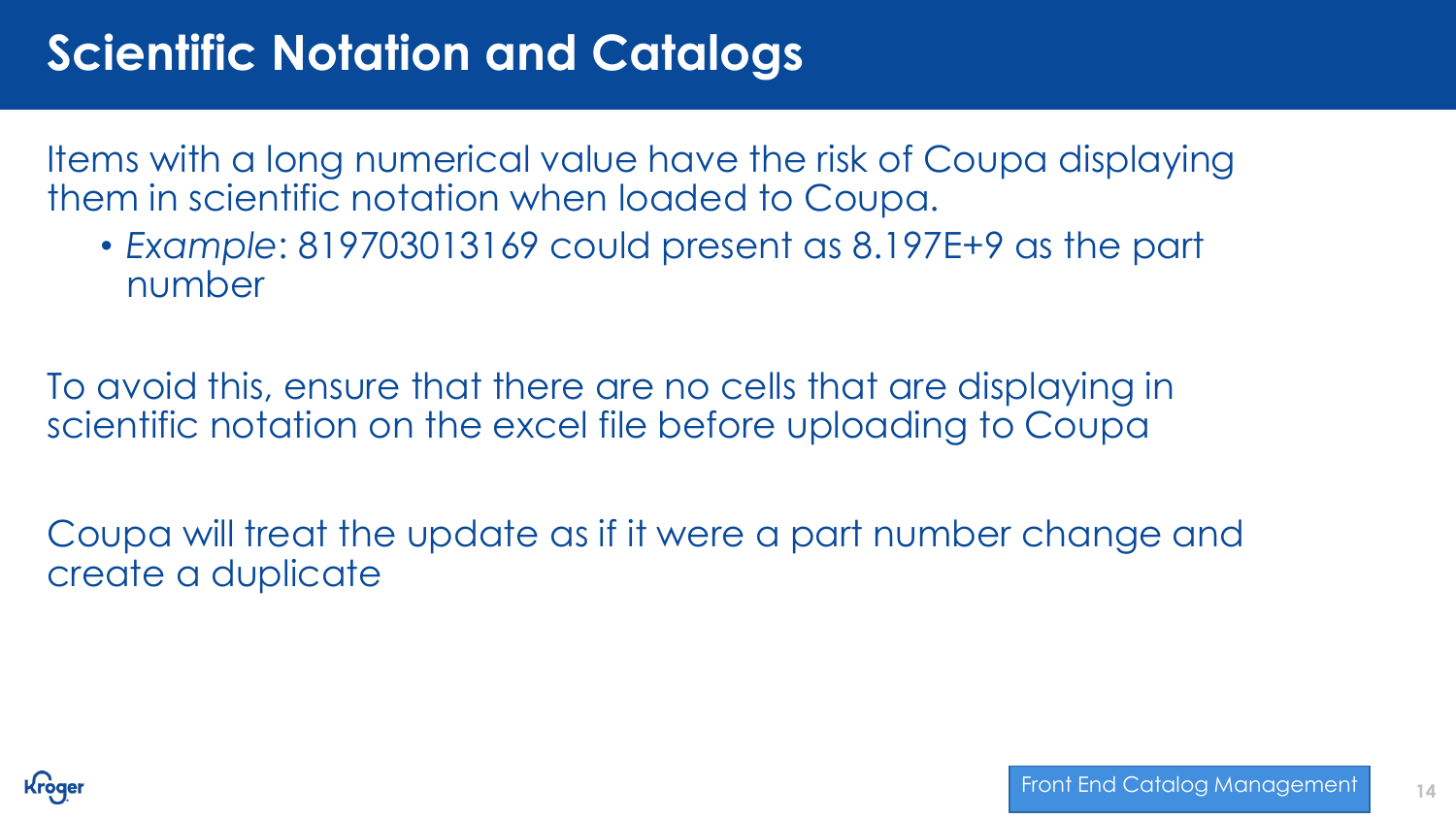# **Scientific Notation and Catalogs**

Items with a long numerical value have the risk of Coupa displaying them in scientific notation when loaded to Coupa.

• *Example*: 819703013169 could present as 8.197E+9 as the part number

To avoid this, ensure that there are no cells that are displaying in scientific notation on the excel file before uploading to Coupa

Coupa will treat the update as if it were a part number change and create a duplicate

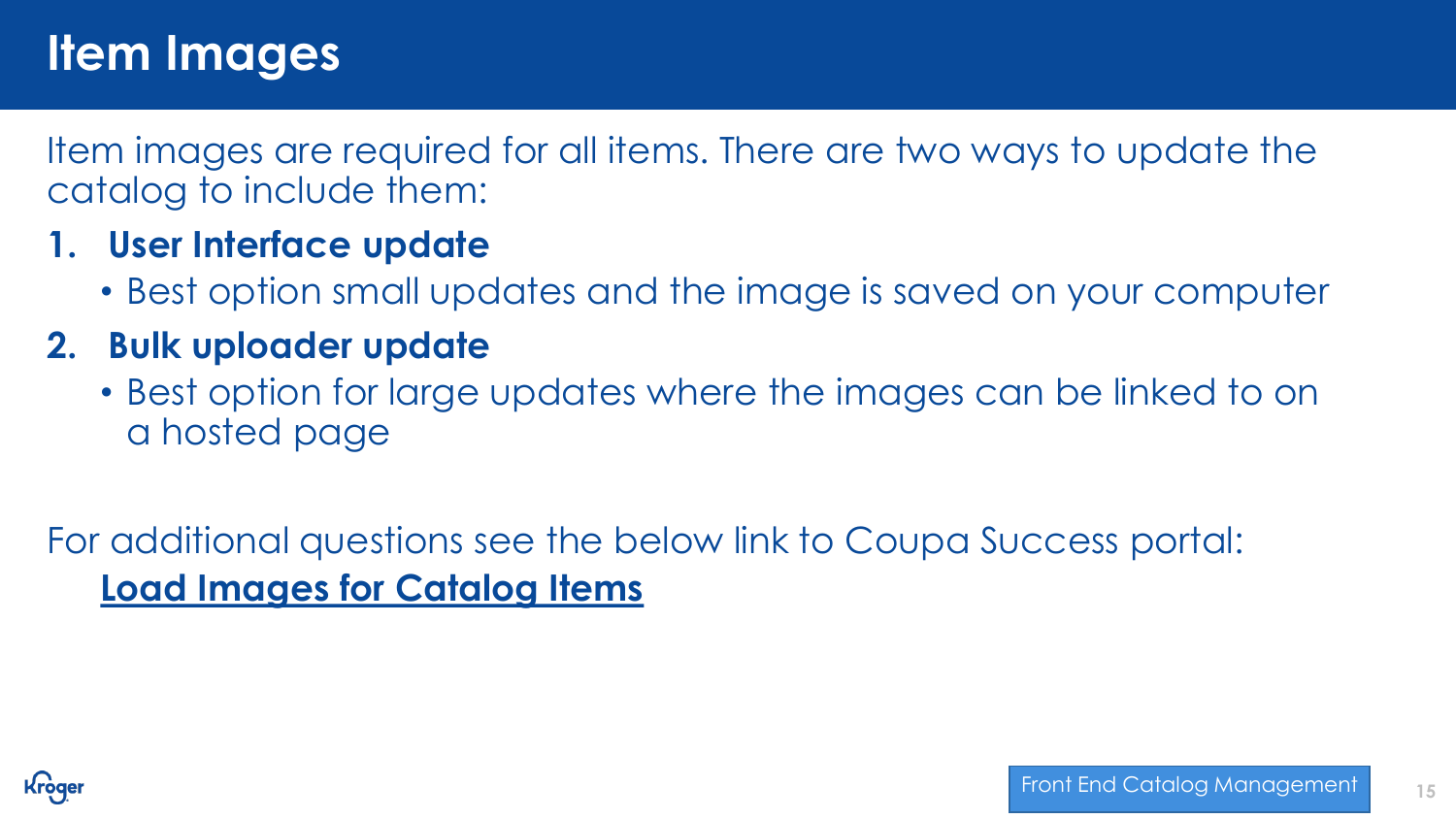## **Item Images**

Item images are required for all items. There are two ways to update the catalog to include them:

## **1. User Interface update**

• Best option small updates and the image is saved on your computer

## **2. Bulk uploader update**

• Best option for large updates where the images can be linked to on a hosted page

For additional questions see the below link to Coupa Success portal: **[Load Images for Catalog Items](https://success.coupa.com/Support/Docs/Core_Apps/Procurement/Catalogs_and_Items/Catalogs/Load_Images_for_Catalog_Items)**

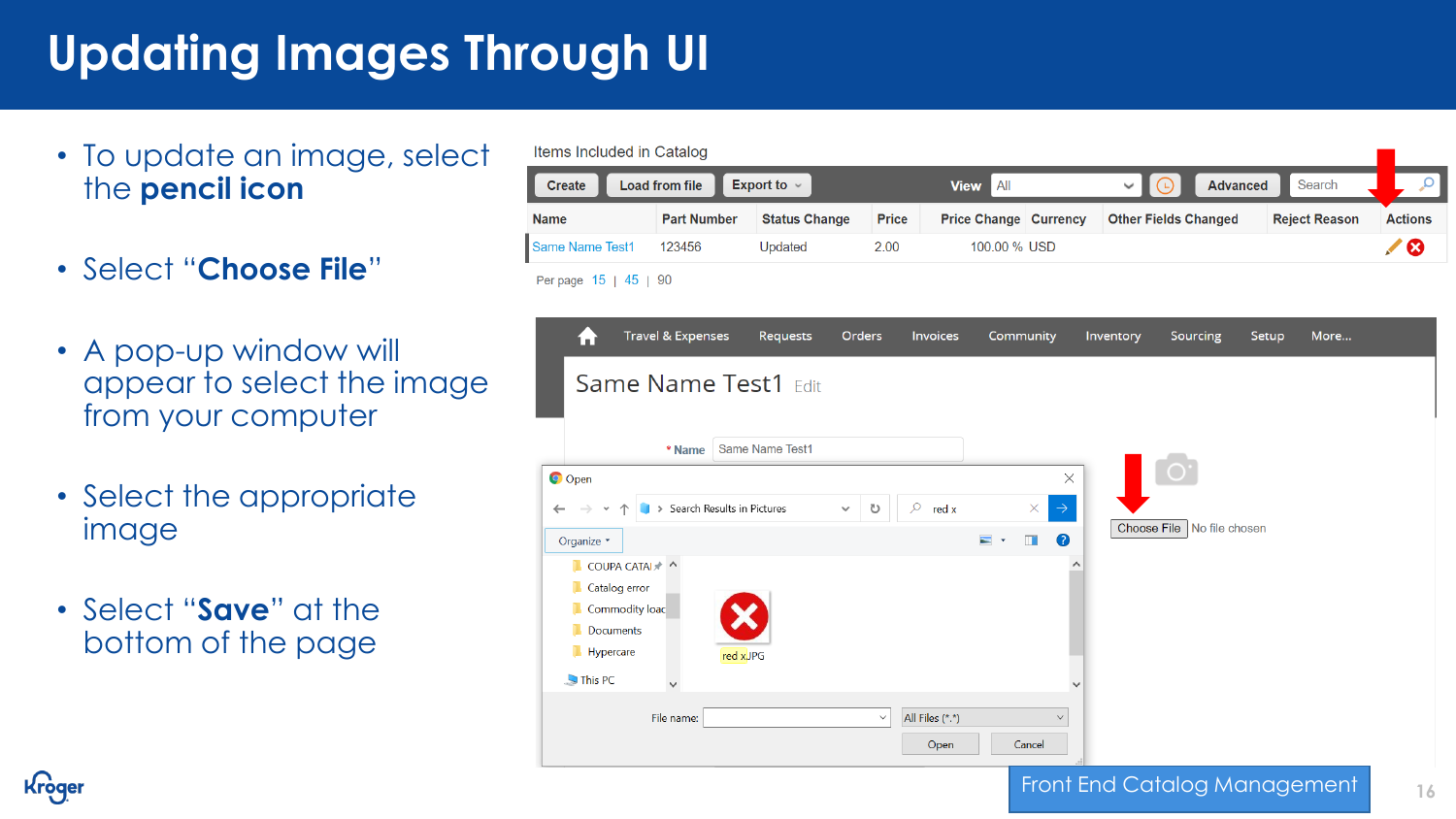# **Updating Images Through UI**

- To update an image, select the **pencil icon**
- Select "**Choose File**"
- A pop-up window will appear to select the image from your computer
- Select the appropriate image
- Select "**Save**" at the bottom of the page



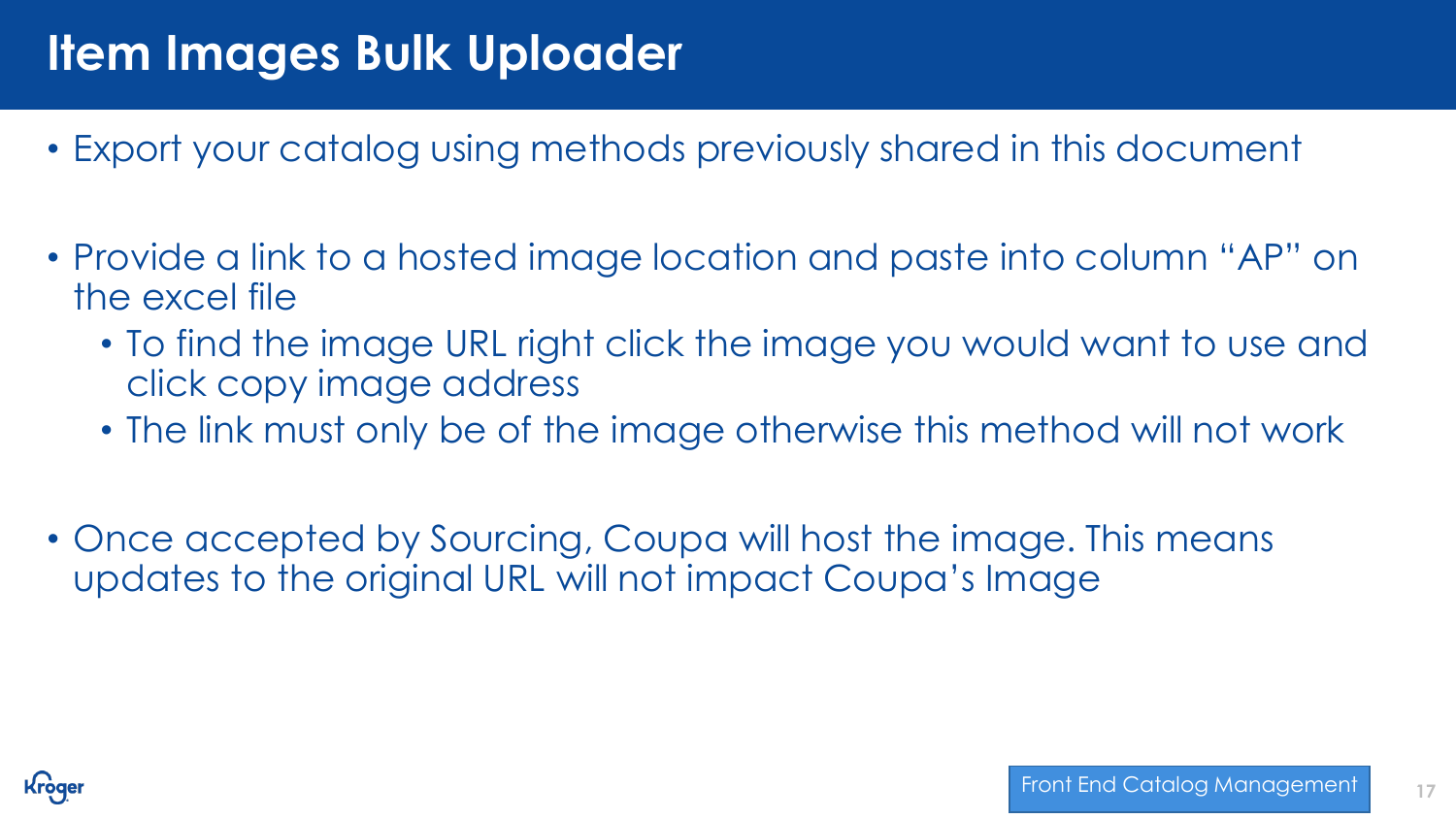# **Item Images Bulk Uploader**

- Export your catalog using methods previously shared in this document
- Provide a link to a hosted image location and paste into column "AP" on the excel file
	- To find the image URL right click the image you would want to use and click copy image address
	- The link must only be of the image otherwise this method will not work
- Once accepted by Sourcing, Coupa will host the image. This means updates to the original URL will not impact Coupa's Image

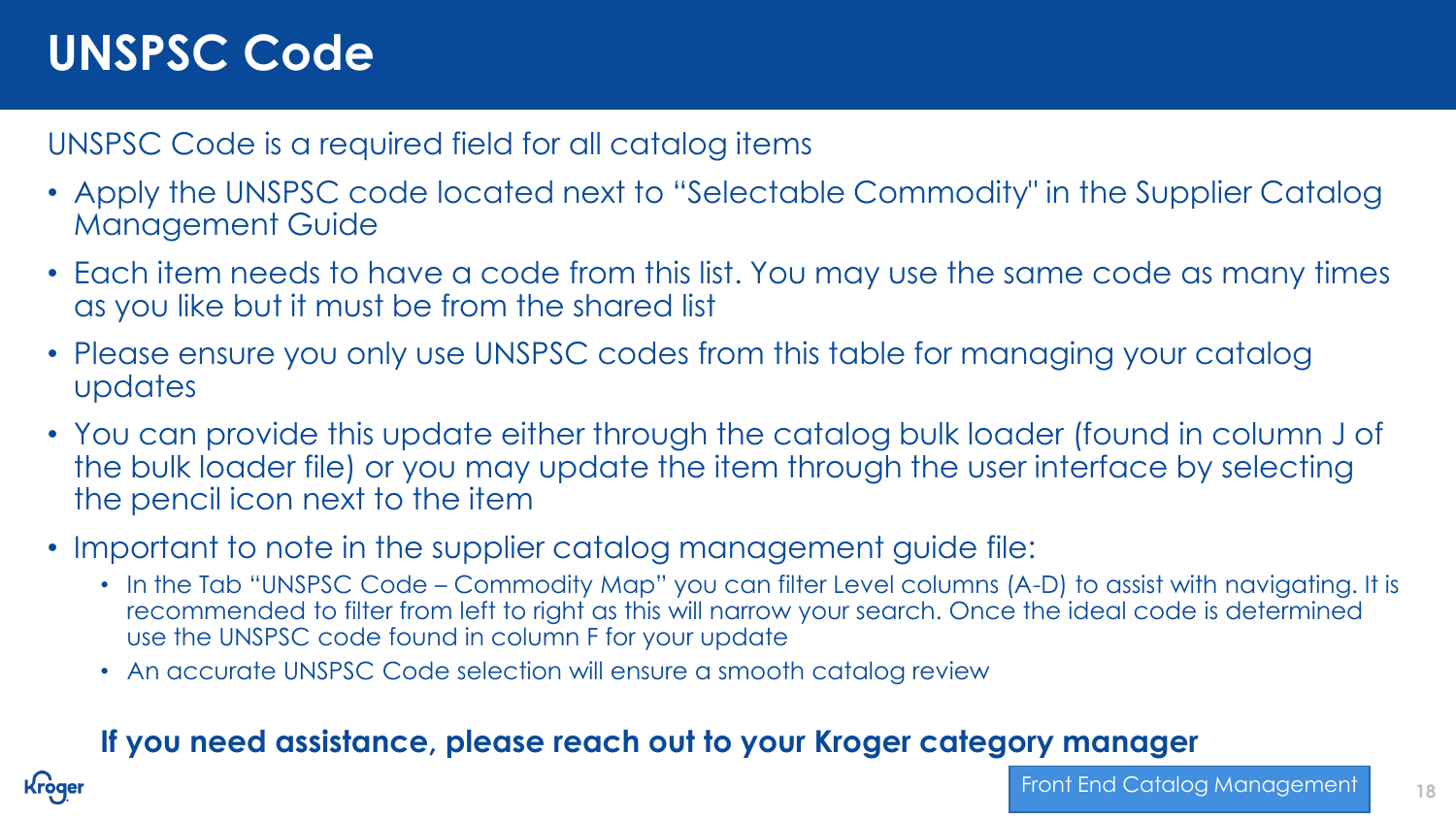# **UNSPSC Code**

UNSPSC Code is a required field for all catalog items

- Apply the UNSPSC code located next to "Selectable Commodity" in the Supplier Catalog Management Guide
- Each item needs to have a code from this list. You may use the same code as many times as you like but it must be from the shared list
- Please ensure you only use UNSPSC codes from this table for managing your catalog updates
- You can provide this update either through the catalog bulk loader (found in column J of the bulk loader file) or you may update the item through the user interface by selecting the pencil icon next to the item
- Important to note in the supplier catalog management guide file:
	- In the Tab "UNSPSC Code Commodity Map" you can filter Level columns (A-D) to assist with navigating. It is recommended to filter from left to right as this will narrow your search. Once the ideal code is determined use the UNSPSC code found in column F for your update
	- An accurate UNSPSC Code selection will ensure a smooth catalog review

## **If you need assistance, please reach out to your Kroger category manager**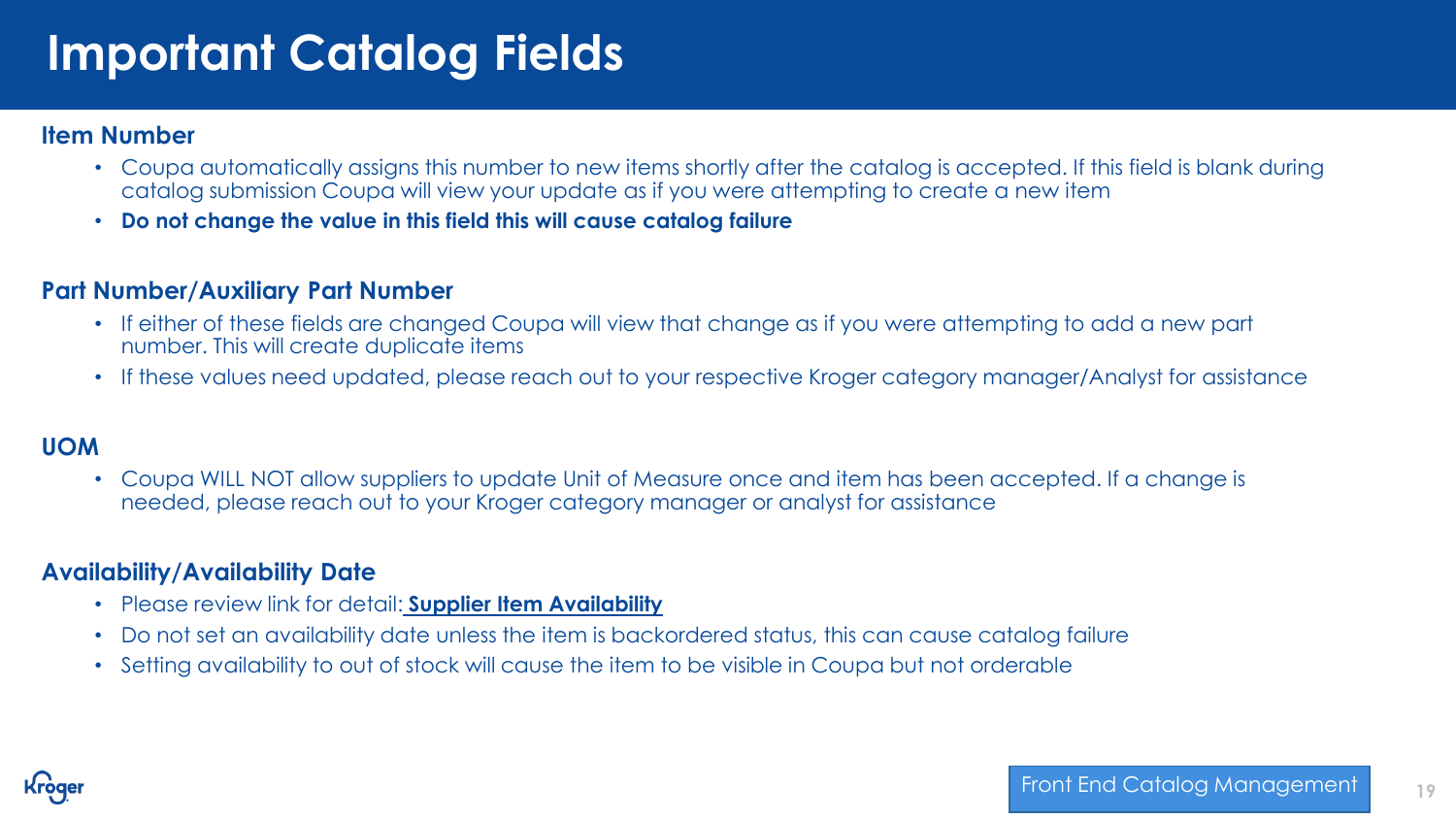# **Important Catalog Fields**

#### **Item Number**

- Coupa automatically assigns this number to new items shortly after the catalog is accepted. If this field is blank during catalog submission Coupa will view your update as if you were attempting to create a new item
- **Do not change the value in this field this will cause catalog failure**

#### **Part Number/Auxiliary Part Number**

- If either of these fields are changed Coupa will view that change as if you were attempting to add a new part number. This will create duplicate items
- If these values need updated, please reach out to your respective Kroger category manager/Analyst for assistance

#### **UOM**

• Coupa WILL NOT allow suppliers to update Unit of Measure once and item has been accepted. If a change is needed, please reach out to your Kroger category manager or analyst for assistance

#### **Availability/Availability Date**

- Please review link for detail: **[Supplier Item Availability](https://success.coupa.com/Support/Releases/31/New_Features/Core_Apps/Procurement/Supplier_Item_Availability)**
- Do not set an availability date unless the item is backordered status, this can cause catalog failure
- Setting availability to out of stock will cause the item to be visible in Coupa but not orderable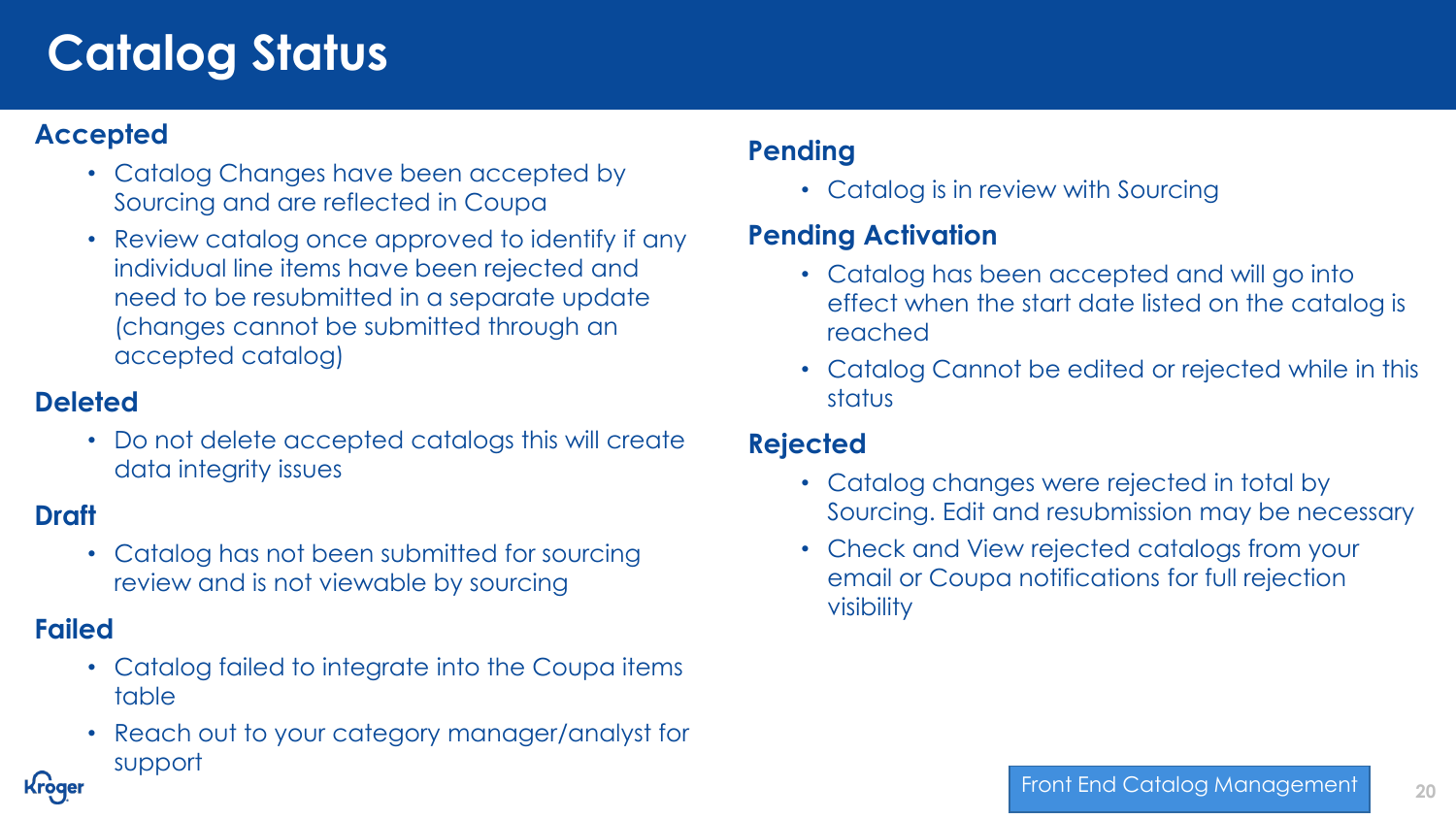# **Catalog Status**

#### **Accepted**

- Catalog Changes have been accepted by Sourcing and are reflected in Coupa
- Review catalog once approved to identify if any individual line items have been rejected and need to be resubmitted in a separate update (changes cannot be submitted through an accepted catalog)

## **Deleted**

• Do not delete accepted catalogs this will create data integrity issues

## **Draft**

• Catalog has not been submitted for sourcing review and is not viewable by sourcing

## **Failed**

**Kroger** 

- Catalog failed to integrate into the Coupa items table
- Reach out to your category manager/analyst for support

#### **Pending**

• Catalog is in review with Sourcing

## **Pending Activation**

- Catalog has been accepted and will go into effect when the start date listed on the catalog is reached
- Catalog Cannot be edited or rejected while in this status

#### **Rejected**

- Catalog changes were rejected in total by Sourcing. Edit and resubmission may be necessary
- Check and View rejected catalogs from your email or Coupa notifications for full rejection visibility